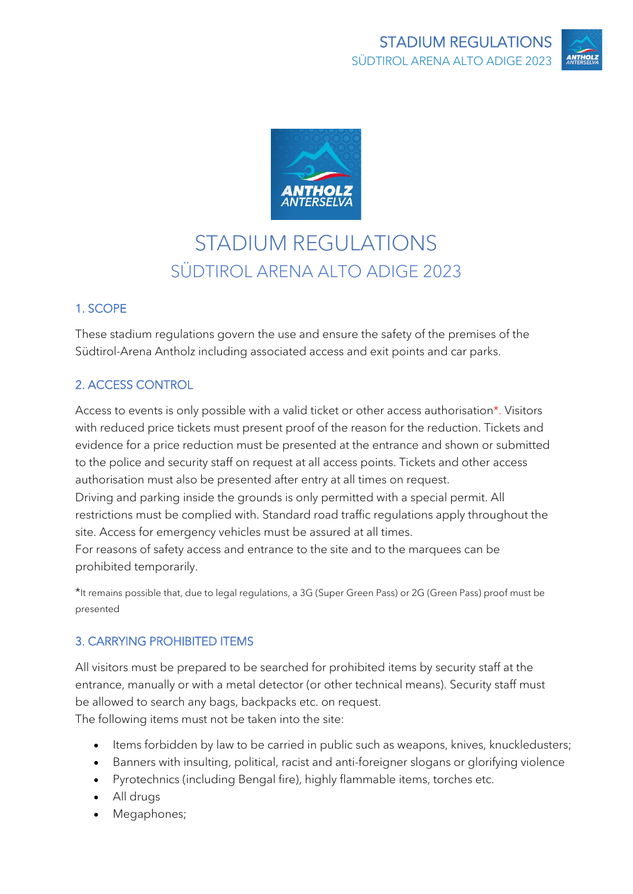



# STADIUM REGULATIONS SÜDTIROL ARENA ALTO ADIGE 2023

# 1. SCOPE

These stadium regulations govern the use and ensure the safety of the premises of the Südtirol-Arena Antholz including associated access and exit points and car parks.

# 2. ACCESS CONTROL

Access to events is only possible with a valid ticket or other access authorisation\*. Visitors with reduced price tickets must present proof of the reason for the reduction. Tickets and evidence for a price reduction must be presented at the entrance and shown or submitted to the police and security staff on request at all access points. Tickets and other access authorisation must also be presented after entry at all times on request.

Driving and parking inside the grounds is only permitted with a special permit. All restrictions must be complied with. Standard road traffic regulations apply throughout the site. Access for emergency vehicles must be assured at all times.

For reasons of safety access and entrance to the site and to the marquees can be prohibited temporarily.

\*It remains possible that, due to legal regulations, a 3G (Super Green Pass) or 2G (Green Pass) proof must be presented

# 3. CARRYING PROHIBITED ITEMS

All visitors must be prepared to be searched for prohibited items by security staff at the entrance, manually or with a metal detector (or other technical means). Security staff must be allowed to search any bags, backpacks etc. on request. The following items must not be taken into the site:

- Items forbidden by law to be carried in public such as weapons, knives, knuckledusters;
- Banners with insulting, political, racist and anti-foreigner slogans or glorifying violence
- Pyrotechnics (including Bengal fire), highly flammable items, torches etc.
- All drugs
- Megaphones;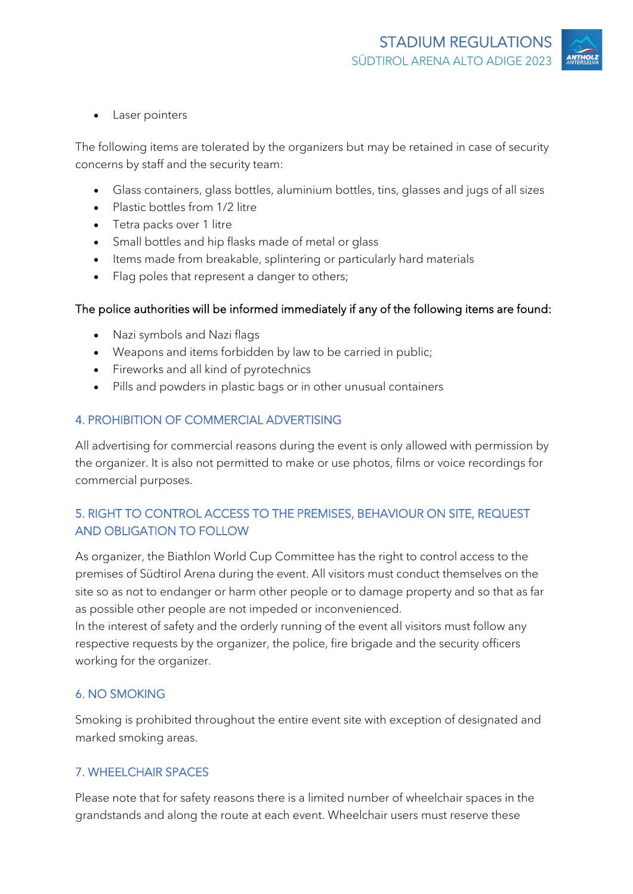Laser pointers

The following items are tolerated by the organizers but may be retained in case of security concerns by staff and the security team:

- Glass containers, glass bottles, aluminium bottles, tins, glasses and jugs of all sizes
- Plastic bottles from 1/2 litre
- Tetra packs over 1 litre
- Small bottles and hip flasks made of metal or glass
- Items made from breakable, splintering or particularly hard materials
- Flag poles that represent a danger to others;

#### The police authorities will be informed immediately if any of the following items are found:

- Nazi symbols and Nazi flags
- Weapons and items forbidden by law to be carried in public;
- Fireworks and all kind of pyrotechnics
- Pills and powders in plastic bags or in other unusual containers

#### 4. PROHIBITION OF COMMERCIAL ADVERTISING

All advertising for commercial reasons during the event is only allowed with permission by the organizer. It is also not permitted to make or use photos, films or voice recordings for commercial purposes.

## 5. RIGHT TO CONTROL ACCESS TO THE PREMISES, BEHAVIOUR ON SITE, REQUEST AND OBLIGATION TO FOLLOW

As organizer, the Biathlon World Cup Committee has the right to control access to the premises of Südtirol Arena during the event. All visitors must conduct themselves on the site so as not to endanger or harm other people or to damage property and so that as far as possible other people are not impeded or inconvenienced.

In the interest of safety and the orderly running of the event all visitors must follow any respective requests by the organizer, the police, fire brigade and the security officers working for the organizer.

### 6. NO SMOKING

Smoking is prohibited throughout the entire event site with exception of designated and marked smoking areas.

#### 7. WHEELCHAIR SPACES

Please note that for safety reasons there is a limited number of wheelchair spaces in the grandstands and along the route at each event. Wheelchair users must reserve these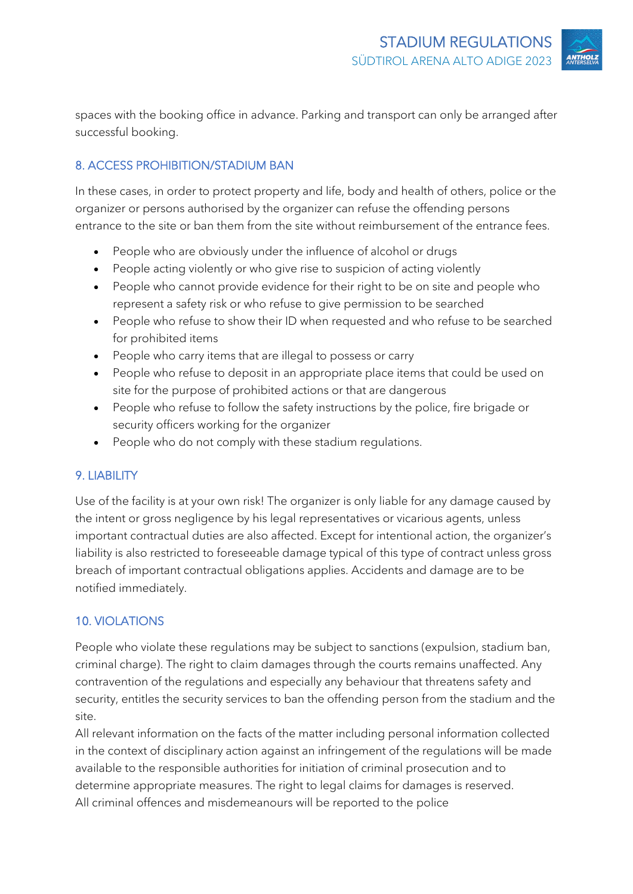spaces with the booking office in advance. Parking and transport can only be arranged after successful booking.

# 8. ACCESS PROHIBITION/STADIUM BAN

In these cases, in order to protect property and life, body and health of others, police or the organizer or persons authorised by the organizer can refuse the offending persons entrance to the site or ban them from the site without reimbursement of the entrance fees.

- People who are obviously under the influence of alcohol or drugs
- People acting violently or who give rise to suspicion of acting violently
- People who cannot provide evidence for their right to be on site and people who represent a safety risk or who refuse to give permission to be searched
- People who refuse to show their ID when requested and who refuse to be searched for prohibited items
- People who carry items that are illegal to possess or carry
- People who refuse to deposit in an appropriate place items that could be used on site for the purpose of prohibited actions or that are dangerous
- People who refuse to follow the safety instructions by the police, fire brigade or security officers working for the organizer
- People who do not comply with these stadium regulations.

# 9. LIABILITY

Use of the facility is at your own risk! The organizer is only liable for any damage caused by the intent or gross negligence by his legal representatives or vicarious agents, unless important contractual duties are also affected. Except for intentional action, the organizer's liability is also restricted to foreseeable damage typical of this type of contract unless gross breach of important contractual obligations applies. Accidents and damage are to be notified immediately.

# 10. VIOLATIONS

People who violate these regulations may be subject to sanctions (expulsion, stadium ban, criminal charge). The right to claim damages through the courts remains unaffected. Any contravention of the regulations and especially any behaviour that threatens safety and security, entitles the security services to ban the offending person from the stadium and the site.

All relevant information on the facts of the matter including personal information collected in the context of disciplinary action against an infringement of the regulations will be made available to the responsible authorities for initiation of criminal prosecution and to determine appropriate measures. The right to legal claims for damages is reserved. All criminal offences and misdemeanours will be reported to the police